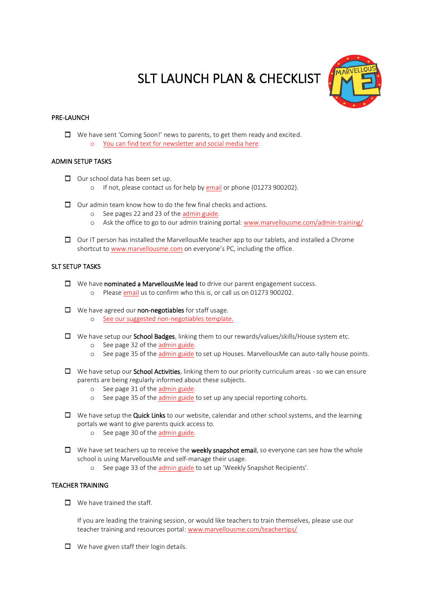# SLT LAUNCH PLAN & CHECKLIST



## PRE-LAUNCH

 $\Box$  We have sent 'Coming Soon!' news to parents, to get them ready and excited. o [You can find text for newsletter and social media here.](https://marvellousme.com/wp-content/uploads/2019/09/Words-for-NewslettersSocial-Media-and-Emails.pdf)

# ADMIN SETUP TASKS

- $\Box$  Our school data has been set up.
	- o If not, please contact us for help b[y email](mailto:support@marvellousme.com?subject=Help) or phone (01273 900202).
- $\Box$  Our admin team know how to do the few final checks and actions.
	- o See pages 22 and 23 of th[e admin guide.](https://marvellousme.com/wp-content/uploads/2018/09/Admin-Walkthrough-Tutorial.pdf)
	- o Ask the office to go to our admin training portal: [www.marvellousme.com/admin-training/](http://www.marvellousme.com/admin-training/)
- $\Box$  Our IT person has installed the MarvellousMe teacher app to our tablets, and installed a Chrome shortcut to [www.marvellousme.com](http://www.marvellousme.com/) on everyone's PC, including the office.

## SLT SETUP TASKS

- $\Box$  We have **nominated a MarvellousMe lead** to drive our parent engagement success.
	- o Please [email](mailto:support@marvellousme.com?subject=Our%20MarvellousMe%20Lead%20is:) us to confirm who this is, or call us on 01273 900202.
- $\Box$  We have agreed our non-negotiables for staff usage.
	- o [See our suggested non-negotiables template.](https://marvellousme.com/wp-content/uploads/2019/05/MarvellousMe-Non-Negotiables-Teachers.pdf)
- $\Box$  We have setup our **School Badges**, linking them to our rewards/values/skills/House system etc.
	- o See page 32 of the [admin guide.](https://marvellousme.com/wp-content/uploads/2018/09/Admin-Walkthrough-Tutorial.pdf)
	- o See page 35 of the [admin guide](https://marvellousme.com/wp-content/uploads/2018/09/Admin-Walkthrough-Tutorial.pdf) to set up Houses. MarvellousMe can auto-tally house points.
- $\Box$  We have setup our **School Activities**, linking them to our priority curriculum areas so we can ensure parents are being regularly informed about these subjects.
	- o See page 31 of the [admin guide.](https://marvellousme.com/wp-content/uploads/2018/09/Admin-Walkthrough-Tutorial.pdf)
	- o See page 35 of the [admin guide](https://marvellousme.com/wp-content/uploads/2018/09/Admin-Walkthrough-Tutorial.pdf) to set up any special reporting cohorts.
- $\Box$  We have setup the Quick Links to our website, calendar and other school systems, and the learning portals we want to give parents quick access to.
	- o See page 30 of the [admin guide.](https://marvellousme.com/wp-content/uploads/2018/09/Admin-Walkthrough-Tutorial.pdf)
- $\Box$  We have set teachers up to receive the weekly snapshot email, so everyone can see how the whole school is using MarvellousMe and self-manage their usage.
	- o See page 33 of the [admin guide](https://marvellousme.com/wp-content/uploads/2018/09/Admin-Walkthrough-Tutorial.pdf) to set up 'Weekly Snapshot Recipients'.

#### TEACHER TRAINING

 $\Box$  We have trained the staff.

If you are leading the training session, or would like teachers to train themselves, please use our teacher training and resources portal: [www.marvellousme.com/teachertips/](http://www.marvellousme.com/teachertips/)

 $\Box$  We have given staff their login details.